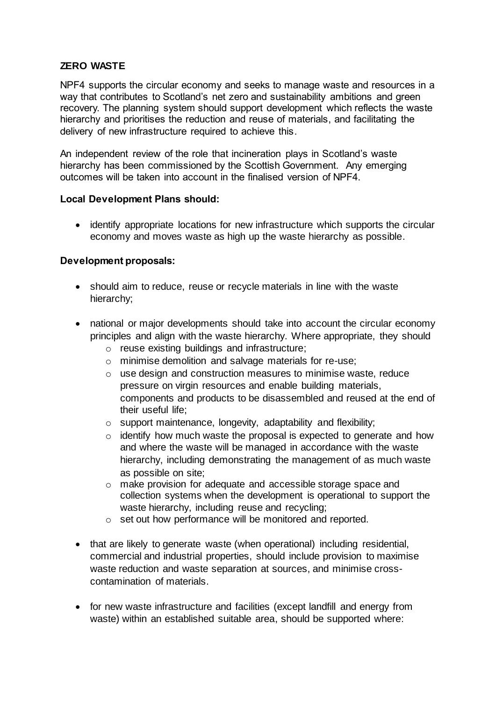# **ZERO WASTE**

NPF4 supports the circular economy and seeks to manage waste and resources in a way that contributes to Scotland's net zero and sustainability ambitions and green recovery. The planning system should support development which reflects the waste hierarchy and prioritises the reduction and reuse of materials, and facilitating the delivery of new infrastructure required to achieve this.

An independent review of the role that incineration plays in Scotland's waste hierarchy has been commissioned by the Scottish Government. Any emerging outcomes will be taken into account in the finalised version of NPF4.

### **Local Development Plans should:**

 identify appropriate locations for new infrastructure which supports the circular economy and moves waste as high up the waste hierarchy as possible.

### **Development proposals:**

- should aim to reduce, reuse or recycle materials in line with the waste hierarchy;
- national or major developments should take into account the circular economy principles and align with the waste hierarchy. Where appropriate, they should
	- o reuse existing buildings and infrastructure;
	- o minimise demolition and salvage materials for re-use;
	- o use design and construction measures to minimise waste, reduce pressure on virgin resources and enable building materials, components and products to be disassembled and reused at the end of their useful life;
	- o support maintenance, longevity, adaptability and flexibility;
	- o identify how much waste the proposal is expected to generate and how and where the waste will be managed in accordance with the waste hierarchy, including demonstrating the management of as much waste as possible on site;
	- o make provision for adequate and accessible storage space and collection systems when the development is operational to support the waste hierarchy, including reuse and recycling;
	- o set out how performance will be monitored and reported.
- that are likely to generate waste (when operational) including residential, commercial and industrial properties, should include provision to maximise waste reduction and waste separation at sources, and minimise crosscontamination of materials.
- for new waste infrastructure and facilities (except landfill and energy from waste) within an established suitable area, should be supported where: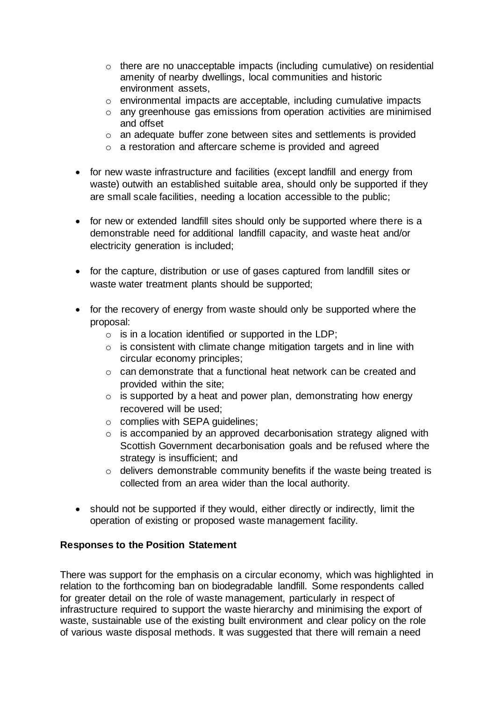- o there are no unacceptable impacts (including cumulative) on residential amenity of nearby dwellings, local communities and historic environment assets,
- o environmental impacts are acceptable, including cumulative impacts
- o any greenhouse gas emissions from operation activities are minimised and offset
- o an adequate buffer zone between sites and settlements is provided
- o a restoration and aftercare scheme is provided and agreed
- for new waste infrastructure and facilities (except landfill and energy from waste) outwith an established suitable area, should only be supported if they are small scale facilities, needing a location accessible to the public;
- for new or extended landfill sites should only be supported where there is a demonstrable need for additional landfill capacity, and waste heat and/or electricity generation is included;
- for the capture, distribution or use of gases captured from landfill sites or waste water treatment plants should be supported;
- for the recovery of energy from waste should only be supported where the proposal:
	- $\circ$  is in a location identified or supported in the LDP;
	- $\circ$  is consistent with climate change mitigation targets and in line with circular economy principles;
	- o can demonstrate that a functional heat network can be created and provided within the site;
	- $\circ$  is supported by a heat and power plan, demonstrating how energy recovered will be used;
	- o complies with SEPA guidelines;
	- o is accompanied by an approved decarbonisation strategy aligned with Scottish Government decarbonisation goals and be refused where the strategy is insufficient; and
	- o delivers demonstrable community benefits if the waste being treated is collected from an area wider than the local authority.
- should not be supported if they would, either directly or indirectly, limit the operation of existing or proposed waste management facility.

### **Responses to the Position Statement**

There was support for the emphasis on a circular economy, which was highlighted in relation to the forthcoming ban on biodegradable landfill. Some respondents called for greater detail on the role of waste management, particularly in respect of infrastructure required to support the waste hierarchy and minimising the export of waste, sustainable use of the existing built environment and clear policy on the role of various waste disposal methods. It was suggested that there will remain a need